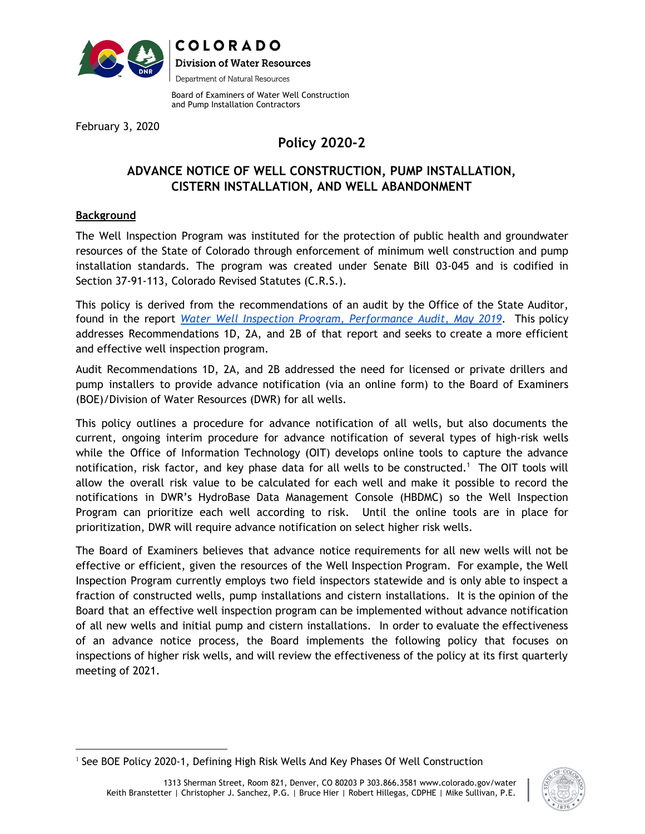

Board of Examiners of Water Well Construction and Pump Installation Contractors

February 3, 2020

# **Policy 2020-2**

# **ADVANCE NOTICE OF WELL CONSTRUCTION, PUMP INSTALLATION, CISTERN INSTALLATION, AND WELL ABANDONMENT**

## **Background**

The Well Inspection Program was instituted for the protection of public health and groundwater resources of the State of Colorado through enforcement of minimum well construction and pump installation standards. The program was created under Senate Bill 03-045 and is codified in Section 37-91-113, Colorado Revised Statutes (C.R.S.).

This policy is derived from the recommendations of an audit by the Office of the State Auditor, found in the report *Water Well Inspection Program, [Performance](http://leg.colorado.gov/sites/default/files/documents/audits/1816p_water_well_inspection_program.pdf) Audit, May 2019*. This policy addresses Recommendations 1D, 2A, and 2B of that report and seeks to create a more efficient and effective well inspection program.

Audit Recommendations 1D, 2A, and 2B addressed the need for licensed or private drillers and pump installers to provide advance notification (via an online form) to the Board of Examiners (BOE)/Division of Water Resources (DWR) for all wells.

This policy outlines a procedure for advance notification of all wells, but also documents the current, ongoing interim procedure for advance notification of several types of high-risk wells while the Office of Information Technology (OIT) develops online tools to capture the advance notification, risk factor, and key phase data for all wells to be constructed.<sup>1</sup> The OIT tools will allow the overall risk value to be calculated for each well and make it possible to record the notifications in DWR's HydroBase Data Management Console (HBDMC) so the Well Inspection Program can prioritize each well according to risk. Until the online tools are in place for prioritization, DWR will require advance notification on select higher risk wells.

The Board of Examiners believes that advance notice requirements for all new wells will not be effective or efficient, given the resources of the Well Inspection Program. For example, the Well Inspection Program currently employs two field inspectors statewide and is only able to inspect a fraction of constructed wells, pump installations and cistern installations. It is the opinion of the Board that an effective well inspection program can be implemented without advance notification of all new wells and initial pump and cistern installations. In order to evaluate the effectiveness of an advance notice process, the Board implements the following policy that focuses on inspections of higher risk wells, and will review the effectiveness of the policy at its first quarterly meeting of 2021.



<sup>&</sup>lt;sup>1</sup> See BOE Policy 2020-1, Defining High Risk Wells And Key Phases Of Well Construction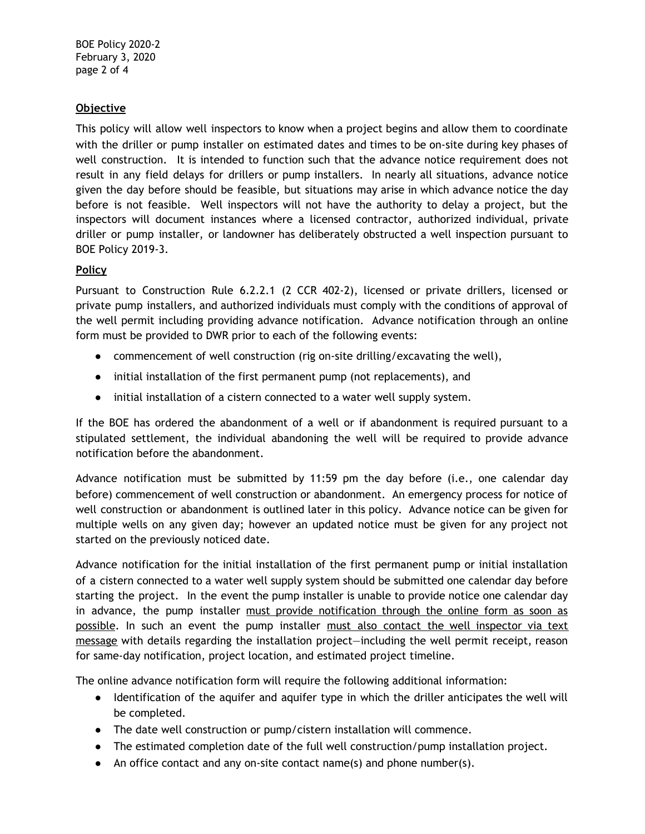BOE Policy 2020-2 February 3, 2020 page 2 of 4

### **Objective**

This policy will allow well inspectors to know when a project begins and allow them to coordinate with the driller or pump installer on estimated dates and times to be on-site during key phases of well construction. It is intended to function such that the advance notice requirement does not result in any field delays for drillers or pump installers. In nearly all situations, advance notice given the day before should be feasible, but situations may arise in which advance notice the day before is not feasible. Well inspectors will not have the authority to delay a project, but the inspectors will document instances where a licensed contractor, authorized individual, private driller or pump installer, or landowner has deliberately obstructed a well inspection pursuant to BOE Policy 2019-3.

#### **Policy**

Pursuant to Construction Rule 6.2.2.1 (2 CCR 402-2), licensed or private drillers, licensed or private pump installers, and authorized individuals must comply with the conditions of approval of the well permit including providing advance notification. Advance notification through an online form must be provided to DWR prior to each of the following events:

- commencement of well construction (rig on-site drilling/excavating the well),
- initial installation of the first permanent pump (not replacements), and
- initial installation of a cistern connected to a water well supply system.

If the BOE has ordered the abandonment of a well or if abandonment is required pursuant to a stipulated settlement, the individual abandoning the well will be required to provide advance notification before the abandonment.

Advance notification must be submitted by 11:59 pm the day before (i.e., one calendar day before) commencement of well construction or abandonment. An emergency process for notice of well construction or abandonment is outlined later in this policy. Advance notice can be given for multiple wells on any given day; however an updated notice must be given for any project not started on the previously noticed date.

Advance notification for the initial installation of the first permanent pump or initial installation of a cistern connected to a water well supply system should be submitted one calendar day before starting the project. In the event the pump installer is unable to provide notice one calendar day in advance, the pump installer must provide notification through the online form as soon as possible. In such an event the pump installer must also contact the well inspector via text message with details regarding the installation project—including the well permit receipt, reason for same-day notification, project location, and estimated project timeline.

The online advance notification form will require the following additional information:

- Identification of the aquifer and aquifer type in which the driller anticipates the well will be completed.
- The date well construction or pump/cistern installation will commence.
- The estimated completion date of the full well construction/pump installation project.
- An office contact and any on-site contact name(s) and phone number(s).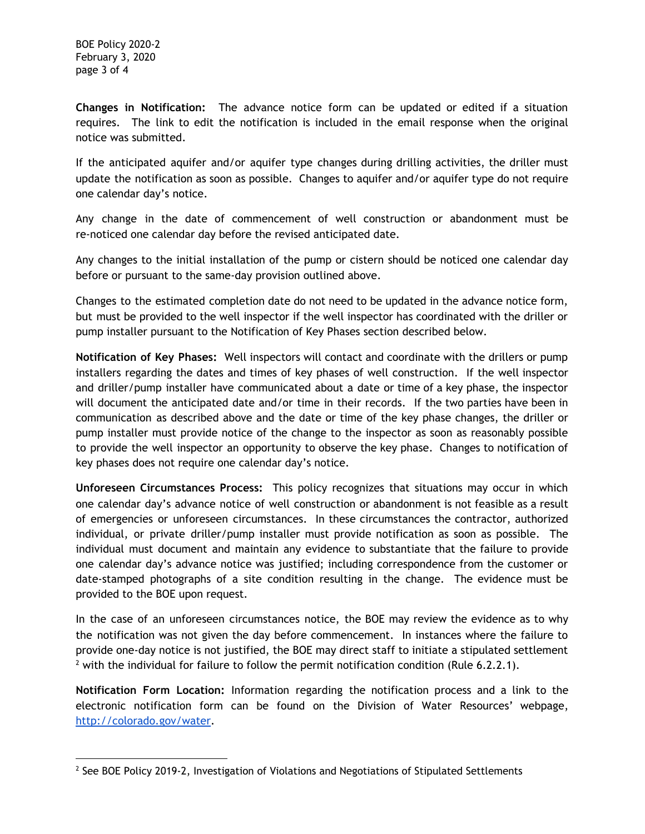BOE Policy 2020-2 February 3, 2020 page 3 of 4

**Changes in Notification:** The advance notice form can be updated or edited if a situation requires. The link to edit the notification is included in the email response when the original notice was submitted.

If the anticipated aquifer and/or aquifer type changes during drilling activities, the driller must update the notification as soon as possible. Changes to aquifer and/or aquifer type do not require one calendar day's notice.

Any change in the date of commencement of well construction or abandonment must be re-noticed one calendar day before the revised anticipated date.

Any changes to the initial installation of the pump or cistern should be noticed one calendar day before or pursuant to the same-day provision outlined above.

Changes to the estimated completion date do not need to be updated in the advance notice form, but must be provided to the well inspector if the well inspector has coordinated with the driller or pump installer pursuant to the Notification of Key Phases section described below.

**Notification of Key Phases:** Well inspectors will contact and coordinate with the drillers or pump installers regarding the dates and times of key phases of well construction. If the well inspector and driller/pump installer have communicated about a date or time of a key phase, the inspector will document the anticipated date and/or time in their records. If the two parties have been in communication as described above and the date or time of the key phase changes, the driller or pump installer must provide notice of the change to the inspector as soon as reasonably possible to provide the well inspector an opportunity to observe the key phase. Changes to notification of key phases does not require one calendar day's notice.

**Unforeseen Circumstances Process:** This policy recognizes that situations may occur in which one calendar day's advance notice of well construction or abandonment is not feasible as a result of emergencies or unforeseen circumstances. In these circumstances the contractor, authorized individual, or private driller/pump installer must provide notification as soon as possible. The individual must document and maintain any evidence to substantiate that the failure to provide one calendar day's advance notice was justified; including correspondence from the customer or date-stamped photographs of a site condition resulting in the change. The evidence must be provided to the BOE upon request.

In the case of an unforeseen circumstances notice, the BOE may review the evidence as to why the notification was not given the day before commencement. In instances where the failure to provide one-day notice is not justified, the BOE may direct staff to initiate a stipulated settlement <sup>2</sup> with the individual for failure to follow the permit notification condition (Rule 6.2.2.1).

**Notification Form Location:** Information regarding the notification process and a link to the electronic notification form can be found on the Division of Water Resources' webpage, <http://colorado.gov/water>.

<sup>&</sup>lt;sup>2</sup> See BOE Policy 2019-2, Investigation of Violations and Negotiations of Stipulated Settlements